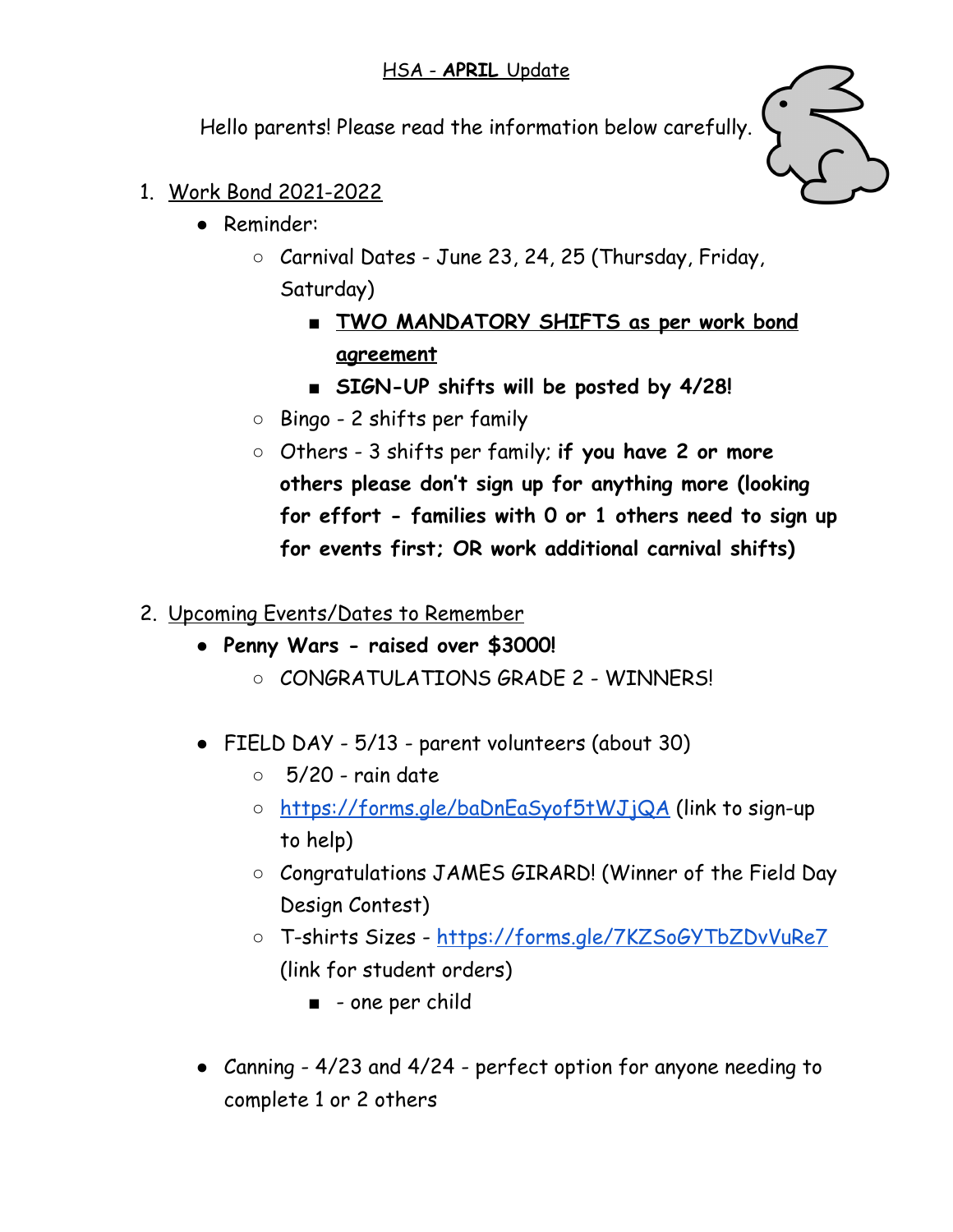Hello parents! Please read the information below carefully.



- 1. Work Bond 2021-2022
	- Reminder:
		- Carnival Dates June 23, 24, 25 (Thursday, Friday, Saturday)
			- **■ TWO MANDATORY SHIFTS as per work bond agreement**
			- **SIGN-UP shifts will be posted by 4/28!**
		- Bingo 2 shifts per family
		- Others 3 shifts per family; **if you have 2 or more others please don't sign up for anything more (looking for effort - families with 0 or 1 others need to sign up for events first; OR work additional carnival shifts)**
- 2. Upcoming Events/Dates to Remember
	- **Penny Wars - raised over \$3000!**
		- CONGRATULATIONS GRADE 2 WINNERS!
	- FIELD DAY 5/13 parent volunteers (about 30)
		- $\circ$  5/20 rain date
		- <https://forms.gle/baDnEaSyof5tWJjQA> (link to sign-up to help)
		- Congratulations JAMES GIRARD! (Winner of the Field Day Design Contest)
		- T-shirts Sizes <https://forms.gle/7KZSoGYTbZDvVuRe7> (link for student orders)
			- - one per child
	- **●** Canning 4/23 and 4/24 perfect option for anyone needing to complete 1 or 2 others